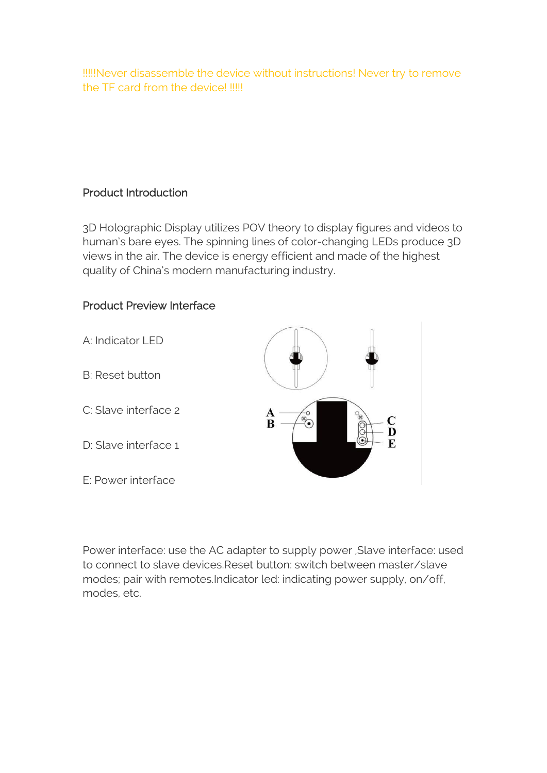!!!!!Never disassemble the device without instructions! Never try to remove the TF card from the device! !!!!!

### Product Introduction

3D Holographic Display utilizes POV theory to display figures and videos to human's bare eyes. The spinning lines of color-changing LEDs produce 3D views in the air. The device is energy efficient and made of the highest quality of China's modern manufacturing industry.

# Product Preview Interface



Power interface: use the AC adapter to supply power ,Slave interface: used to connect to slave devices.Reset button: switch between master/slave modes; pair with remotes.Indicator led: indicating power supply, on/off, modes, etc.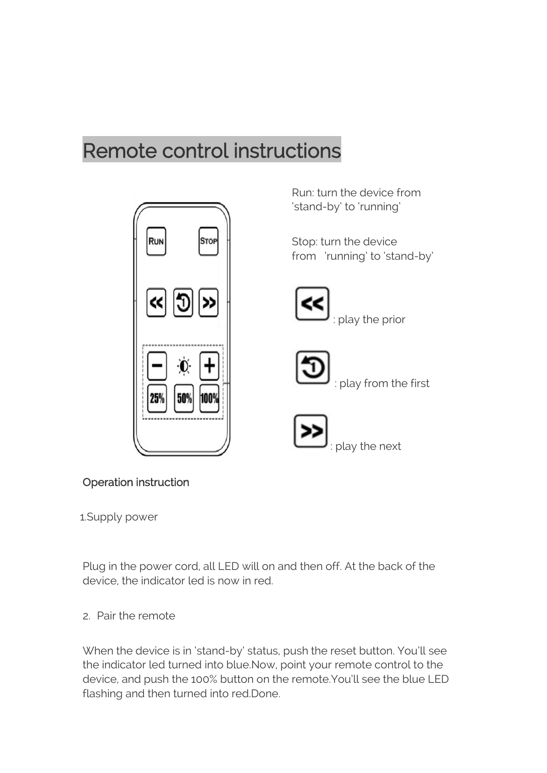# Remote control instructions



Run: turn the device from 'stand-by' to 'running'

Stop: turn the device from 'running' to 'stand-by'



play the prior



: play from the first



Operation instruction

1.Supply power

Plug in the power cord, all LED will on and then off. At the back of the device, the indicator led is now in red.

2. Pair the remote

When the device is in 'stand-by' status, push the reset button. You'll see the indicator led turned into blue.Now, point your remote control to the device, and push the 100% button on the remote.You'll see the blue LED flashing and then turned into red.Done.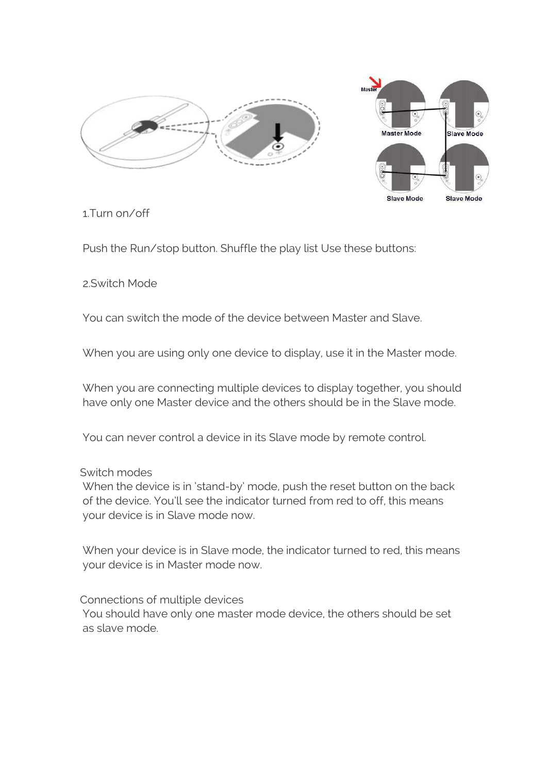



1.Turn on/off

Push the Run/stop button. Shuffle the play list Use these buttons:

2.Switch Mode

You can switch the mode of the device between Master and Slave.

When you are using only one device to display, use it in the Master mode.

When you are connecting multiple devices to display together, you should have only one Master device and the others should be in the Slave mode.

You can never control a device in its Slave mode by remote control.

#### Switch modes

When the device is in 'stand-by' mode, push the reset button on the back of the device. You'll see the indicator turned from red to off, this means your device is in Slave mode now.

When your device is in Slave mode, the indicator turned to red, this means your device is in Master mode now.

Connections of multiple devices

You should have only one master mode device, the others should be set as slave mode.